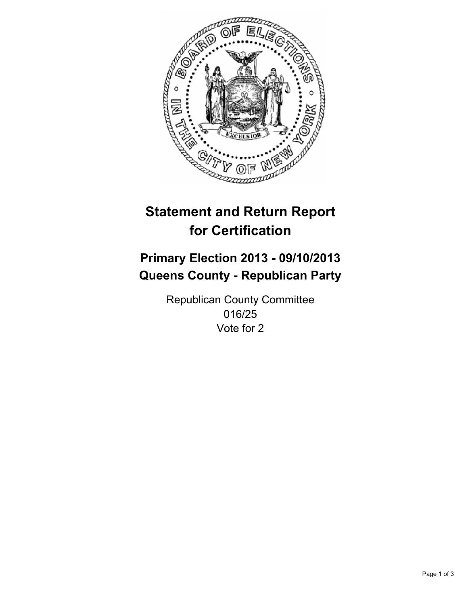

# **Statement and Return Report for Certification**

# **Primary Election 2013 - 09/10/2013 Queens County - Republican Party**

Republican County Committee 016/25 Vote for 2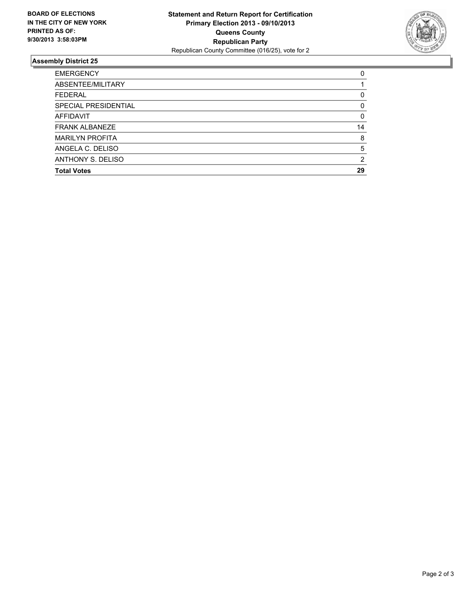

## **Assembly District 25**

| 0        |
|----------|
|          |
| 0        |
| $\Omega$ |
| 0        |
| 14       |
| 8        |
| 5        |
| 2        |
| 29       |
|          |